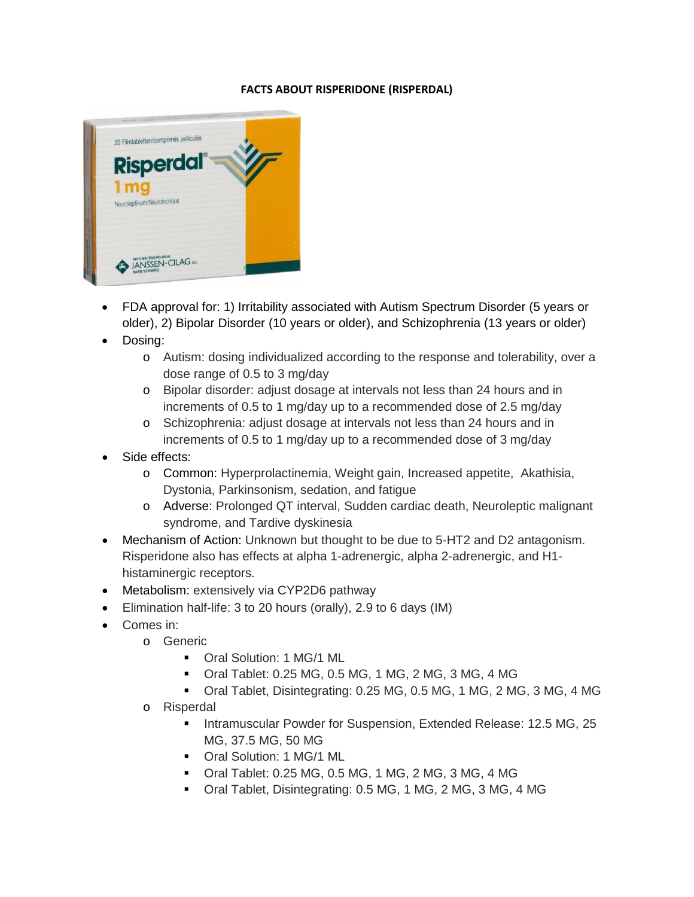## **FACTS ABOUT RISPERIDONE (RISPERDAL)**



- FDA approval for: 1) Irritability associated with Autism Spectrum Disorder (5 years or older), 2) Bipolar Disorder (10 years or older), and Schizophrenia (13 years or older)
- Dosing:
	- o Autism: dosing individualized according to the response and tolerability, over a dose range of 0.5 to 3 mg/day
	- o Bipolar disorder: adjust dosage at intervals not less than 24 hours and in increments of 0.5 to 1 mg/day up to a recommended dose of 2.5 mg/day
	- o Schizophrenia: adjust dosage at intervals not less than 24 hours and in increments of 0.5 to 1 mg/day up to a recommended dose of 3 mg/day
- Side effects:
	- o Common: Hyperprolactinemia, Weight gain, Increased appetite, Akathisia, Dystonia, Parkinsonism, sedation, and fatigue
	- o Adverse: Prolonged QT interval, Sudden cardiac death, Neuroleptic malignant syndrome, and Tardive dyskinesia
- Mechanism of Action: Unknown but thought to be due to 5-HT2 and D2 antagonism. Risperidone also has effects at alpha 1-adrenergic, alpha 2-adrenergic, and H1 histaminergic receptors.
- Metabolism: extensively via CYP2D6 pathway
- Elimination half-life: 3 to 20 hours (orally), 2.9 to 6 days (IM)
- Comes in:
	- o Generic
		- Oral Solution: 1 MG/1 ML
		- Oral Tablet: 0.25 MG, 0.5 MG, 1 MG, 2 MG, 3 MG, 4 MG
		- Oral Tablet, Disintegrating: 0.25 MG, 0.5 MG, 1 MG, 2 MG, 3 MG, 4 MG
	- o Risperdal
		- **Intramuscular Powder for Suspension, Extended Release: 12.5 MG, 25** MG, 37.5 MG, 50 MG
		- Oral Solution: 1 MG/1 ML
		- Oral Tablet: 0.25 MG, 0.5 MG, 1 MG, 2 MG, 3 MG, 4 MG
		- Oral Tablet, Disintegrating: 0.5 MG, 1 MG, 2 MG, 3 MG, 4 MG